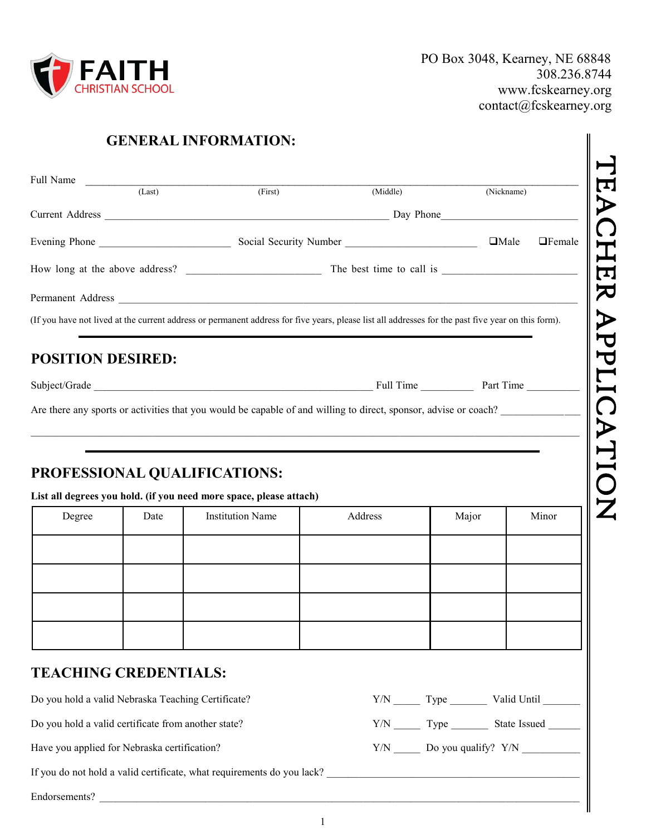

| Full Name                | (Last) | (First)                                                                                                                                            | (Middle) |       | (Nickname) |               |
|--------------------------|--------|----------------------------------------------------------------------------------------------------------------------------------------------------|----------|-------|------------|---------------|
|                          |        |                                                                                                                                                    |          |       |            |               |
|                          |        |                                                                                                                                                    |          |       |            | $\Box$ Female |
|                          |        |                                                                                                                                                    |          |       |            |               |
|                          |        |                                                                                                                                                    |          |       |            |               |
|                          |        | (If you have not lived at the current address or permanent address for five years, please list all addresses for the past five year on this form). |          |       |            |               |
|                          |        |                                                                                                                                                    |          |       |            |               |
| <b>POSITION DESIRED:</b> |        |                                                                                                                                                    |          |       |            |               |
|                          |        |                                                                                                                                                    |          |       |            |               |
|                          |        | Are there any sports or activities that you would be capable of and willing to direct, sponsor, advise or coach?<br>PROFESSIONAL QUALIFICATIONS:   |          |       |            |               |
|                          |        | List all degrees you hold. (if you need more space, please attach)                                                                                 |          |       |            |               |
| Degree                   | Date   | <b>Institution Name</b>                                                                                                                            | Address  | Major |            | Minor         |
|                          |        |                                                                                                                                                    |          |       |            |               |
|                          |        |                                                                                                                                                    |          |       |            |               |

### **TEACHING CREDENTIALS:**

Do you hold a valid certificate from another state? Y/N \_\_\_\_\_\_ Type \_\_\_\_\_\_\_\_ State Issued \_\_\_\_\_\_\_\_

Have you applied for Nebraska certification?  $Y/N$  Do you qualify?  $Y/N$ 

If you do not hold a valid certificate, what requirements do you lack?

Endorsements?



1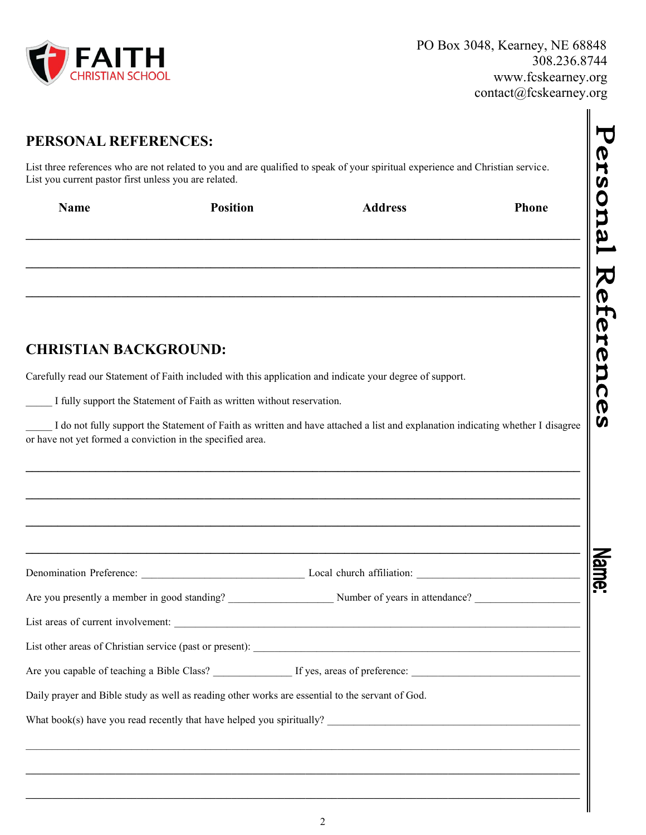

 $\blacksquare$ 

| List you current pastor first unless you are related.                  |                 | List three references who are not related to you and are qualified to speak of your spiritual experience and Christian service. |       |
|------------------------------------------------------------------------|-----------------|---------------------------------------------------------------------------------------------------------------------------------|-------|
| <b>Name</b>                                                            | <b>Position</b> | <b>Address</b>                                                                                                                  | Phone |
|                                                                        |                 |                                                                                                                                 |       |
|                                                                        |                 |                                                                                                                                 |       |
|                                                                        |                 |                                                                                                                                 |       |
|                                                                        |                 |                                                                                                                                 |       |
| <b>CHRISTIAN BACKGROUND:</b>                                           |                 |                                                                                                                                 |       |
|                                                                        |                 | Carefully read our Statement of Faith included with this application and indicate your degree of support.                       |       |
|                                                                        |                 |                                                                                                                                 |       |
| I fully support the Statement of Faith as written without reservation. |                 |                                                                                                                                 |       |
|                                                                        |                 | I do not fully support the Statement of Faith as written and have attached a list and explanation indicating whether I disagree |       |
|                                                                        |                 |                                                                                                                                 |       |
|                                                                        |                 |                                                                                                                                 |       |
|                                                                        |                 |                                                                                                                                 |       |
|                                                                        |                 |                                                                                                                                 |       |
| or have not yet formed a conviction in the specified area.             |                 |                                                                                                                                 |       |
|                                                                        |                 | Local church affiliation:                                                                                                       |       |
|                                                                        |                 |                                                                                                                                 |       |
| Denomination Preference:                                               |                 |                                                                                                                                 |       |
|                                                                        |                 |                                                                                                                                 |       |
|                                                                        |                 | Daily prayer and Bible study as well as reading other works are essential to the servant of God.                                |       |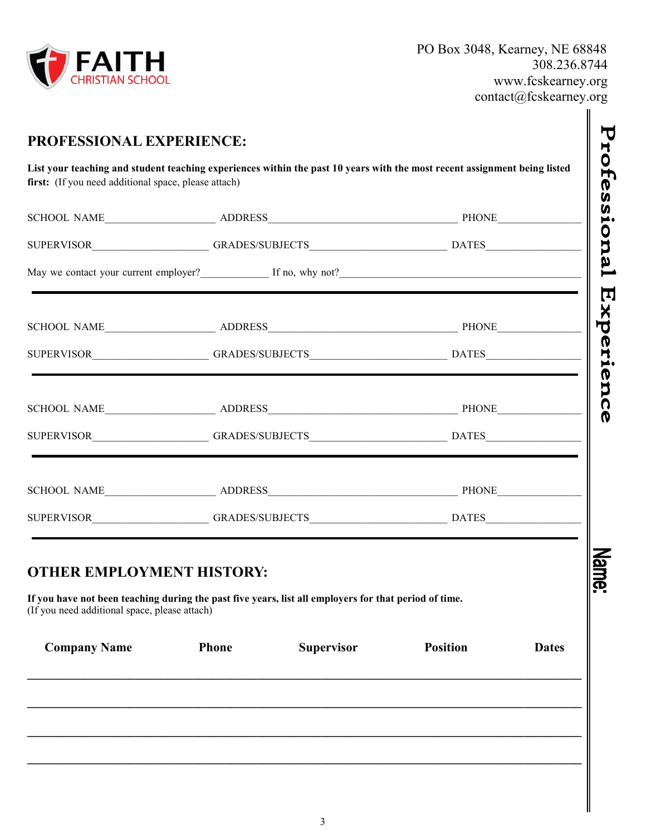

║

|                                                                                   | May we contact your current employer?<br>If no, why not?<br>If no, why not?                           |                   |                 |              |
|-----------------------------------------------------------------------------------|-------------------------------------------------------------------------------------------------------|-------------------|-----------------|--------------|
|                                                                                   |                                                                                                       |                   |                 |              |
|                                                                                   |                                                                                                       |                   |                 |              |
|                                                                                   |                                                                                                       |                   |                 |              |
|                                                                                   |                                                                                                       |                   |                 |              |
|                                                                                   |                                                                                                       |                   |                 |              |
|                                                                                   | SUPERVISOR___________________GRADES/SUBJECTS_____________________________DATES______________________  |                   |                 |              |
| <b>OTHER EMPLOYMENT HISTORY:</b><br>(If you need additional space, please attach) | If you have not been teaching during the past five years, list all employers for that period of time. |                   |                 |              |
|                                                                                   | <b>Phone</b>                                                                                          | <b>Supervisor</b> | <b>Position</b> | <b>Dates</b> |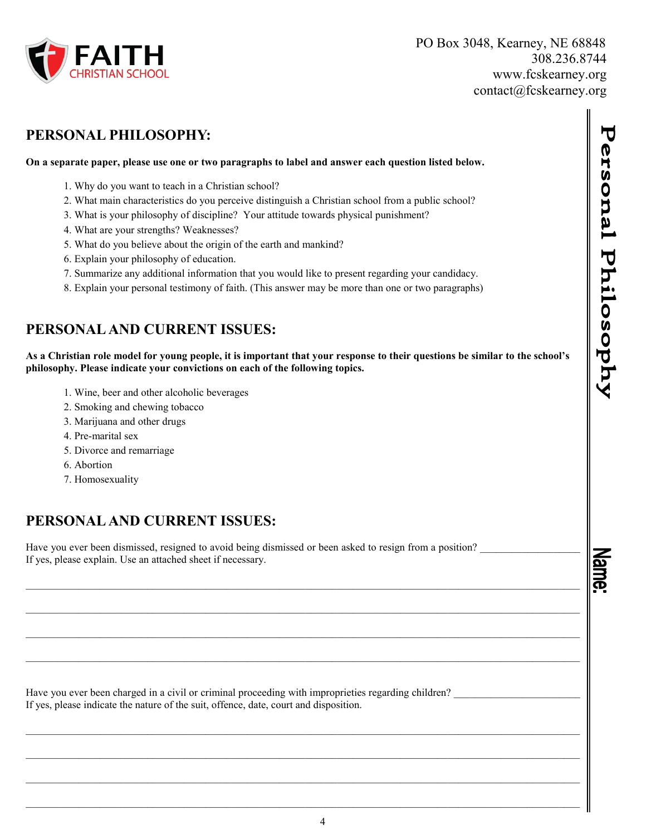

## **PERSONAL PHILOSOPHY:**

#### **On a separate paper, please use one or two paragraphs to label and answer each question listed below.**

- 1. Why do you want to teach in a Christian school?
- 2. What main characteristics do you perceive distinguish a Christian school from a public school?
- 3. What is your philosophy of discipline? Your attitude towards physical punishment?
- 4. What are your strengths? Weaknesses?
- 5. What do you believe about the origin of the earth and mankind?
- 6. Explain your philosophy of education.
- 7. Summarize any additional information that you would like to present regarding your candidacy.
- 8. Explain your personal testimony of faith. (This answer may be more than one or two paragraphs)

## **PERSONAL AND CURRENT ISSUES:**

**As a Christian role model for young people, it is important that your response to their questions be similar to the school's philosophy. Please indicate your convictions on each of the following topics.** 

 $\mathcal{L}_\text{max} = \mathcal{L}_\text{max} = \mathcal{L}_\text{max} = \mathcal{L}_\text{max} = \mathcal{L}_\text{max} = \mathcal{L}_\text{max} = \mathcal{L}_\text{max} = \mathcal{L}_\text{max} = \mathcal{L}_\text{max} = \mathcal{L}_\text{max} = \mathcal{L}_\text{max} = \mathcal{L}_\text{max} = \mathcal{L}_\text{max} = \mathcal{L}_\text{max} = \mathcal{L}_\text{max} = \mathcal{L}_\text{max} = \mathcal{L}_\text{max} = \mathcal{L}_\text{max} = \mathcal{$ 

 $\mathcal{L}_\mathcal{L} = \{ \mathcal{L}_\mathcal{L} = \{ \mathcal{L}_\mathcal{L} = \{ \mathcal{L}_\mathcal{L} = \{ \mathcal{L}_\mathcal{L} = \{ \mathcal{L}_\mathcal{L} = \{ \mathcal{L}_\mathcal{L} = \{ \mathcal{L}_\mathcal{L} = \{ \mathcal{L}_\mathcal{L} = \{ \mathcal{L}_\mathcal{L} = \{ \mathcal{L}_\mathcal{L} = \{ \mathcal{L}_\mathcal{L} = \{ \mathcal{L}_\mathcal{L} = \{ \mathcal{L}_\mathcal{L} = \{ \mathcal{L}_\mathcal{$ 

 $\mathcal{L}_\text{max} = \mathcal{L}_\text{max} = \mathcal{L}_\text{max} = \mathcal{L}_\text{max} = \mathcal{L}_\text{max} = \mathcal{L}_\text{max} = \mathcal{L}_\text{max} = \mathcal{L}_\text{max} = \mathcal{L}_\text{max} = \mathcal{L}_\text{max} = \mathcal{L}_\text{max} = \mathcal{L}_\text{max} = \mathcal{L}_\text{max} = \mathcal{L}_\text{max} = \mathcal{L}_\text{max} = \mathcal{L}_\text{max} = \mathcal{L}_\text{max} = \mathcal{L}_\text{max} = \mathcal{$ 

 $\mathcal{L}_\mathcal{L} = \{ \mathcal{L}_\mathcal{L} = \{ \mathcal{L}_\mathcal{L} = \{ \mathcal{L}_\mathcal{L} = \{ \mathcal{L}_\mathcal{L} = \{ \mathcal{L}_\mathcal{L} = \{ \mathcal{L}_\mathcal{L} = \{ \mathcal{L}_\mathcal{L} = \{ \mathcal{L}_\mathcal{L} = \{ \mathcal{L}_\mathcal{L} = \{ \mathcal{L}_\mathcal{L} = \{ \mathcal{L}_\mathcal{L} = \{ \mathcal{L}_\mathcal{L} = \{ \mathcal{L}_\mathcal{L} = \{ \mathcal{L}_\mathcal{$ 

- 1. Wine, beer and other alcoholic beverages
- 2. Smoking and chewing tobacco
- 3. Marijuana and other drugs
- 4. Pre-marital sex
- 5. Divorce and remarriage
- 6. Abortion
- 7. Homosexuality

# **PERSONAL AND CURRENT ISSUES:**

Have you ever been dismissed, resigned to avoid being dismissed or been asked to resign from a position? If yes, please explain. Use an attached sheet if necessary.

Have you ever been charged in a civil or criminal proceeding with improprieties regarding children? If yes, please indicate the nature of the suit, offence, date, court and disposition.

Name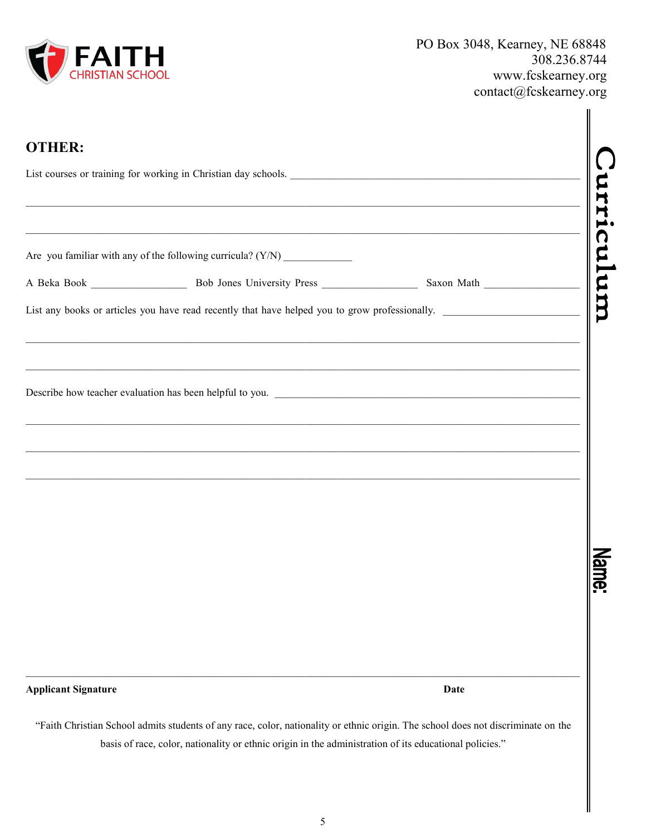

| <b>OTHER:</b>              |                                                                                                                                   |      |    |  |  |
|----------------------------|-----------------------------------------------------------------------------------------------------------------------------------|------|----|--|--|
|                            | List courses or training for working in Christian day schools.                                                                    |      |    |  |  |
|                            |                                                                                                                                   |      |    |  |  |
|                            |                                                                                                                                   |      | um |  |  |
|                            | List any books or articles you have read recently that have helped you to grow professionally.                                    |      |    |  |  |
|                            |                                                                                                                                   |      |    |  |  |
| <b>Applicant Signature</b> |                                                                                                                                   | Date |    |  |  |
|                            | "Faith Christian School admits students of any race, color, nationality or ethnic origin. The school does not discriminate on the |      |    |  |  |

basis of race, color, nationality or ethnic origin in the administration of its educational policies."